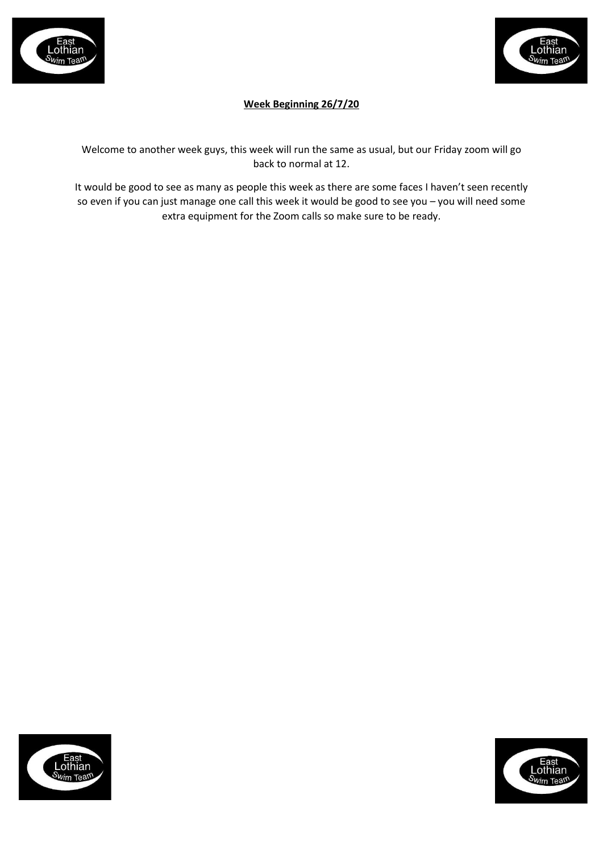



# **Week Beginning 26/7/20**

Welcome to another week guys, this week will run the same as usual, but our Friday zoom will go back to normal at 12.

It would be good to see as many as people this week as there are some faces I haven't seen recently so even if you can just manage one call this week it would be good to see you – you will need some extra equipment for the Zoom calls so make sure to be ready.



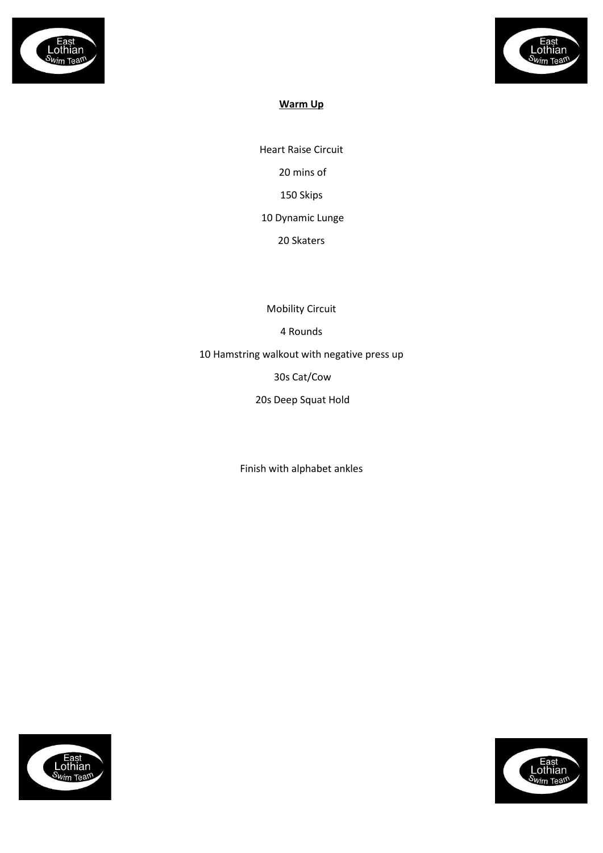



# **Warm Up**

Heart Raise Circuit 20 mins of 150 Skips 10 Dynamic Lunge

20 Skaters

Mobility Circuit

4 Rounds

10 Hamstring walkout with negative press up

30s Cat/Cow

20s Deep Squat Hold

Finish with alphabet ankles



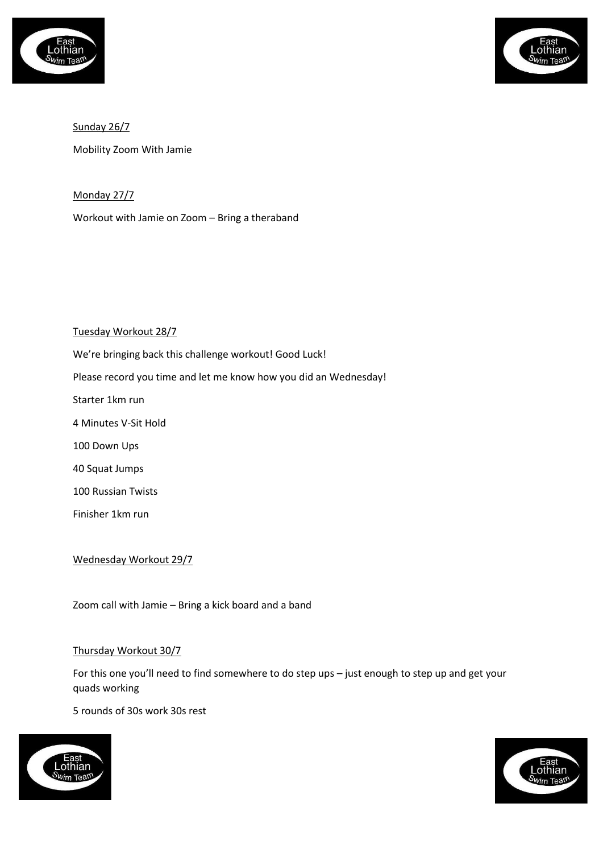



Sunday 26/7 Mobility Zoom With Jamie

Monday 27/7

Workout with Jamie on Zoom – Bring a theraband

### Tuesday Workout 28/7

We're bringing back this challenge workout! Good Luck! Please record you time and let me know how you did an Wednesday! Starter 1km run 4 Minutes V-Sit Hold 100 Down Ups 40 Squat Jumps 100 Russian Twists

Finisher 1km run

Wednesday Workout 29/7

Zoom call with Jamie – Bring a kick board and a band

#### Thursday Workout 30/7

For this one you'll need to find somewhere to do step ups – just enough to step up and get your quads working

5 rounds of 30s work 30s rest



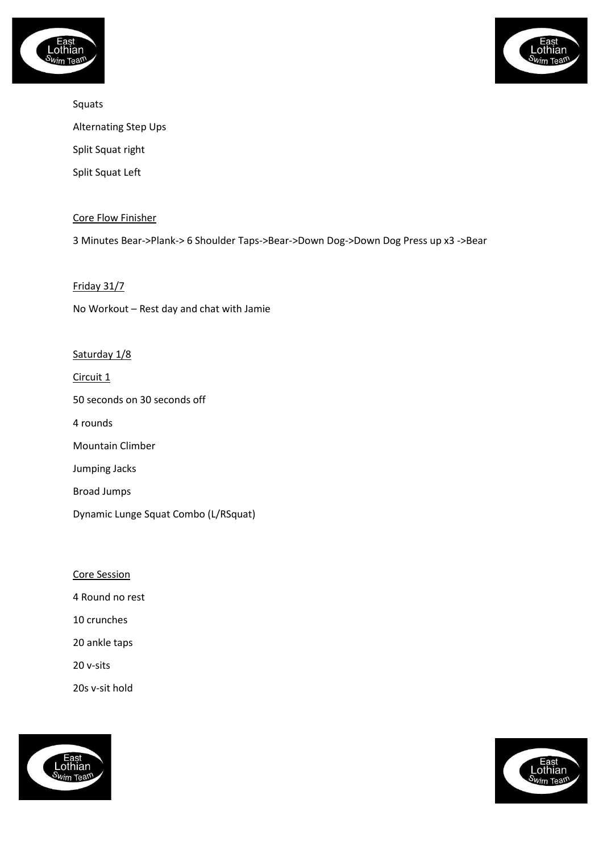



Squats Alternating Step Ups Split Squat right Split Squat Left

## Core Flow Finisher

3 Minutes Bear->Plank-> 6 Shoulder Taps->Bear->Down Dog->Down Dog Press up x3 ->Bear

#### Friday 31/7

No Workout – Rest day and chat with Jamie

#### Saturday 1/8

Circuit 1

50 seconds on 30 seconds off

4 rounds

Mountain Climber

Jumping Jacks

Broad Jumps

Dynamic Lunge Squat Combo (L/RSquat)

Core Session

4 Round no rest

10 crunches

20 ankle taps

20 v-sits

20s v-sit hold